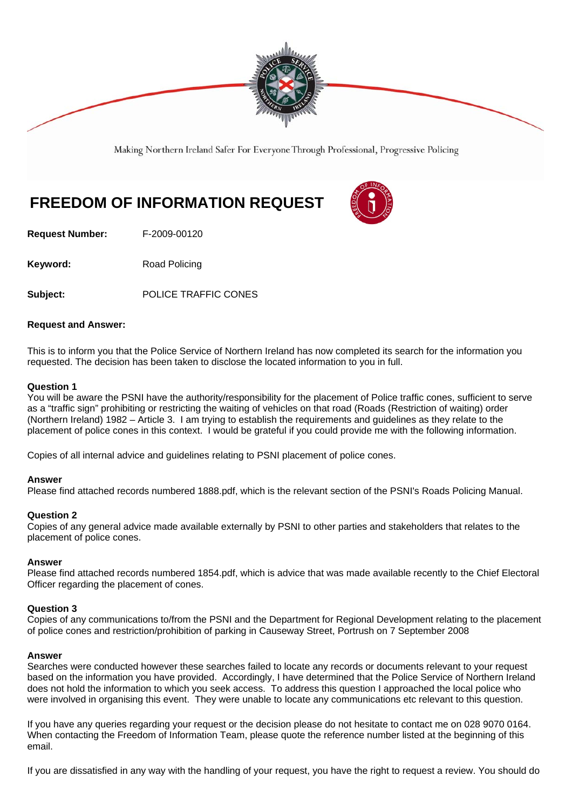

Making Northern Ireland Safer For Everyone Through Professional, Progressive Policing

# **FREEDOM OF INFORMATION REQUEST**

**Request Number:** F-2009-00120

**Keyword:** Road Policing

**Subject:** POLICE TRAFFIC CONES

#### **Request and Answer:**

This is to inform you that the Police Service of Northern Ireland has now completed its search for the information you requested. The decision has been taken to disclose the located information to you in full.

#### **Question 1**

You will be aware the PSNI have the authority/responsibility for the placement of Police traffic cones, sufficient to serve as a "traffic sign" prohibiting or restricting the waiting of vehicles on that road (Roads (Restriction of waiting) order (Northern Ireland) 1982 – Article 3. I am trying to establish the requirements and guidelines as they relate to the placement of police cones in this context. I would be grateful if you could provide me with the following information.

Copies of all internal advice and guidelines relating to PSNI placement of police cones.

#### **Answer**

Please find attached records numbered 1888.pdf, which is the relevant section of the PSNI's Roads Policing Manual.

### **Question 2**

Copies of any general advice made available externally by PSNI to other parties and stakeholders that relates to the placement of police cones.

#### **Answer**

Please find attached records numbered 1854.pdf, which is advice that was made available recently to the Chief Electoral Officer regarding the placement of cones.

#### **Question 3**

Copies of any communications to/from the PSNI and the Department for Regional Development relating to the placement of police cones and restriction/prohibition of parking in Causeway Street, Portrush on 7 September 2008

#### **Answer**

Searches were conducted however these searches failed to locate any records or documents relevant to your request based on the information you have provided. Accordingly, I have determined that the Police Service of Northern Ireland does not hold the information to which you seek access. To address this question I approached the local police who were involved in organising this event. They were unable to locate any communications etc relevant to this question.

If you have any queries regarding your request or the decision please do not hesitate to contact me on 028 9070 0164. When contacting the Freedom of Information Team, please quote the reference number listed at the beginning of this email.

If you are dissatisfied in any way with the handling of your request, you have the right to request a review. You should do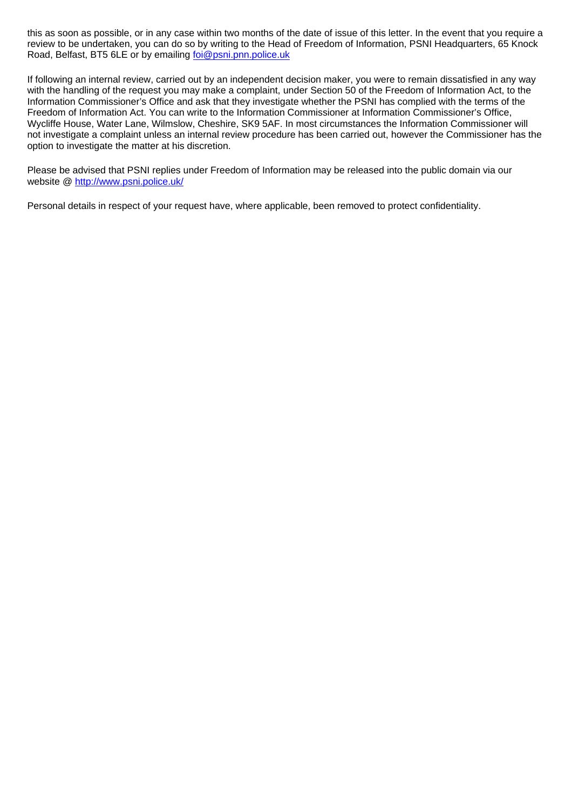this as soon as possible, or in any case within two months of the date of issue of this letter. In the event that you require a review to be undertaken, you can do so by writing to the Head of Freedom of Information, PSNI Headquarters, 65 Knock Road, Belfast, BT5 6LE or by emailing foi@psni.pnn.police.uk

If following an internal review, carried out by an independent decision maker, you were to remain dissatisfied in any way with the handling of the request you may make a complaint, under Section 50 of the Freedom of Information Act, to the Information Commissioner's Office and ask that they investigate whether the PSNI has complied with the terms of the Freedom of Information Act. You can write to the Information Commissioner at Information Commissioner's Office, Wycliffe House, Water Lane, Wilmslow, Cheshire, SK9 5AF. In most circumstances the Information Commissioner will not investigate a complaint unless an internal review procedure has been carried out, however the Commissioner has the option to investigate the matter at his discretion.

Please be advised that PSNI replies under Freedom of Information may be released into the public domain via our website @ http://www.psni.police.uk/

Personal details in respect of your request have, where applicable, been removed to protect confidentiality.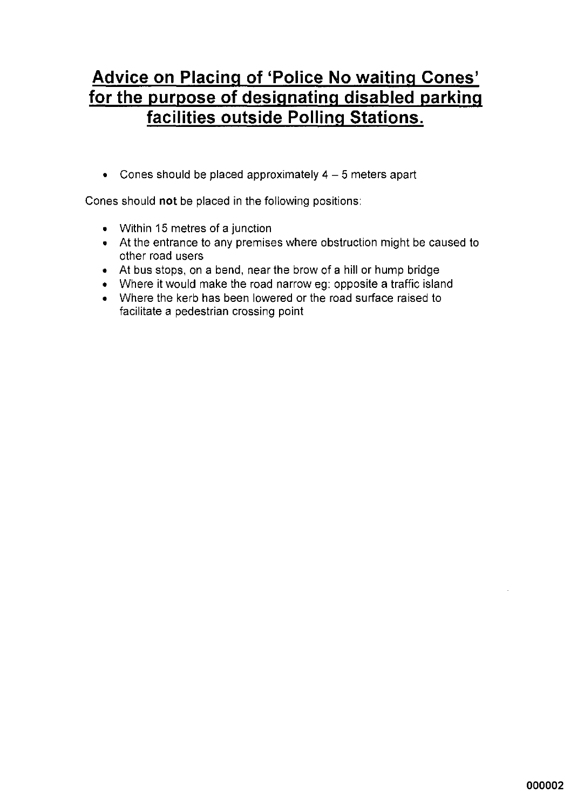## **Advice on Placing of 'Police No waiting Cones'** for the purpose of designating disabled parking facilities outside Polling Stations.

• Cones should be placed approximately  $4-5$  meters apart

Cones should not be placed in the following positions:

- Within 15 metres of a junction
- At the entrance to any premises where obstruction might be caused to other road users
- At bus stops, on a bend, near the brow of a hill or hump bridge
- Where it would make the road narrow eg: opposite a traffic island
- Where the kerb has been lowered or the road surface raised to facilitate a pedestrian crossing point